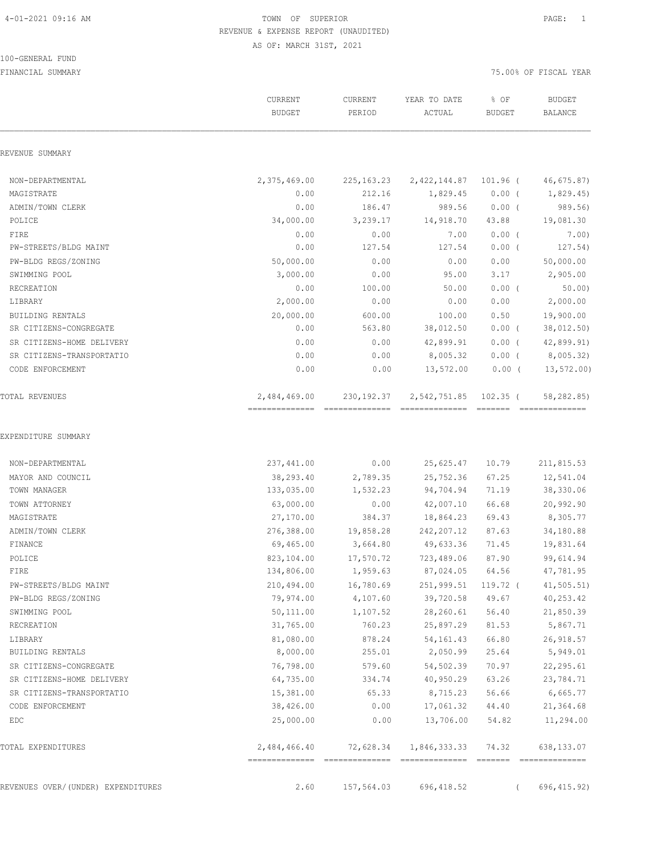100-GENERAL FUND

## 4-01-2021 09:16 AM TOWN OF SUPERIOR PAGE: 1 REVENUE & EXPENSE REPORT (UNAUDITED) AS OF: MARCH 31ST, 2021

| REVENUE SUMMARY                    |              |                                |              |                               |                                                                                                                                                                                                                                                                                                                                                                                                                                                                                                            |
|------------------------------------|--------------|--------------------------------|--------------|-------------------------------|------------------------------------------------------------------------------------------------------------------------------------------------------------------------------------------------------------------------------------------------------------------------------------------------------------------------------------------------------------------------------------------------------------------------------------------------------------------------------------------------------------|
|                                    |              |                                |              |                               |                                                                                                                                                                                                                                                                                                                                                                                                                                                                                                            |
|                                    |              |                                |              |                               |                                                                                                                                                                                                                                                                                                                                                                                                                                                                                                            |
| NON-DEPARTMENTAL                   | 2,375,469.00 | 225, 163. 23                   | 2,422,144.87 | $101.96$ (                    | 46, 675.87                                                                                                                                                                                                                                                                                                                                                                                                                                                                                                 |
| MAGISTRATE                         | 0.00         | 212.16                         | 1,829.45     | $0.00$ (                      | 1,829.45                                                                                                                                                                                                                                                                                                                                                                                                                                                                                                   |
| ADMIN/TOWN CLERK                   | 0.00         | 186.47                         | 989.56       | $0.00$ (                      | 989.56)                                                                                                                                                                                                                                                                                                                                                                                                                                                                                                    |
| POLICE                             | 34,000.00    | 3,239.17                       | 14,918.70    | 43.88                         | 19,081.30                                                                                                                                                                                                                                                                                                                                                                                                                                                                                                  |
| FIRE                               | 0.00         | 0.00                           | 7.00         | $0.00$ (                      | 7.00)                                                                                                                                                                                                                                                                                                                                                                                                                                                                                                      |
| PW-STREETS/BLDG MAINT              | 0.00         | 127.54                         | 127.54       | $0.00$ (                      | 127.54)                                                                                                                                                                                                                                                                                                                                                                                                                                                                                                    |
| PW-BLDG REGS/ZONING                | 50,000.00    | 0.00                           | 0.00         | 0.00                          | 50,000.00                                                                                                                                                                                                                                                                                                                                                                                                                                                                                                  |
| SWIMMING POOL                      | 3,000.00     | 0.00                           | 95.00        | 3.17                          | 2,905.00                                                                                                                                                                                                                                                                                                                                                                                                                                                                                                   |
| RECREATION                         | 0.00         | 100.00                         | 50.00        | $0.00$ (                      | 50.00                                                                                                                                                                                                                                                                                                                                                                                                                                                                                                      |
| LIBRARY                            | 2,000.00     | 0.00                           | 0.00         | 0.00                          | 2,000.00                                                                                                                                                                                                                                                                                                                                                                                                                                                                                                   |
| BUILDING RENTALS                   | 20,000.00    | 600.00                         | 100.00       | 0.50                          | 19,900.00                                                                                                                                                                                                                                                                                                                                                                                                                                                                                                  |
| SR CITIZENS-CONGREGATE             | 0.00         | 563.80                         | 38,012.50    | $0.00$ (                      | 38,012.50)                                                                                                                                                                                                                                                                                                                                                                                                                                                                                                 |
| SR CITIZENS-HOME DELIVERY          | 0.00         | 0.00                           | 42,899.91    | $0.00$ (                      | 42,899.91)                                                                                                                                                                                                                                                                                                                                                                                                                                                                                                 |
| SR CITIZENS-TRANSPORTATIO          | 0.00         | 0.00                           | 8,005.32     | $0.00$ (                      | 8,005.32)                                                                                                                                                                                                                                                                                                                                                                                                                                                                                                  |
| CODE ENFORCEMENT                   | 0.00         | 0.00                           | 13,572.00    | $0.00$ (                      | 13, 572.00                                                                                                                                                                                                                                                                                                                                                                                                                                                                                                 |
| TOTAL REVENUES                     | 2,484,469.00 | 230, 192.37<br>--------------- | 2,542,751.85 | $102.35$ (<br>$=$ = = = = = = | 58,282.85)<br>$\begin{array}{c} \multicolumn{2}{c} {\textbf{1}} & \multicolumn{2}{c} {\textbf{2}} & \multicolumn{2}{c} {\textbf{3}} & \multicolumn{2}{c} {\textbf{4}} \\ \multicolumn{2}{c} {\textbf{5}} & \multicolumn{2}{c} {\textbf{6}} & \multicolumn{2}{c} {\textbf{7}} & \multicolumn{2}{c} {\textbf{8}} & \multicolumn{2}{c} {\textbf{9}} \\ \multicolumn{2}{c} {\textbf{1}} & \multicolumn{2}{c} {\textbf{1}} & \multicolumn{2}{c} {\textbf{1}} & \multicolumn{2}{c} {\textbf{1}} & \multicolumn{$ |
|                                    |              |                                |              |                               |                                                                                                                                                                                                                                                                                                                                                                                                                                                                                                            |
| EXPENDITURE SUMMARY                |              |                                |              |                               |                                                                                                                                                                                                                                                                                                                                                                                                                                                                                                            |
| NON-DEPARTMENTAL                   | 237,441.00   | 0.00                           | 25,625.47    | 10.79                         | 211,815.53                                                                                                                                                                                                                                                                                                                                                                                                                                                                                                 |
| MAYOR AND COUNCIL                  | 38,293.40    | 2,789.35                       | 25,752.36    | 67.25                         | 12,541.04                                                                                                                                                                                                                                                                                                                                                                                                                                                                                                  |
| TOWN MANAGER                       | 133,035.00   | 1,532.23                       | 94,704.94    | 71.19                         | 38,330.06                                                                                                                                                                                                                                                                                                                                                                                                                                                                                                  |
| TOWN ATTORNEY                      | 63,000.00    | 0.00                           | 42,007.10    | 66.68                         | 20,992.90                                                                                                                                                                                                                                                                                                                                                                                                                                                                                                  |
| MAGISTRATE                         | 27,170.00    | 384.37                         | 18,864.23    | 69.43                         | 8,305.77                                                                                                                                                                                                                                                                                                                                                                                                                                                                                                   |
| ADMIN/TOWN CLERK                   | 276,388.00   | 19,858.28                      | 242, 207.12  | 87.63                         | 34,180.88                                                                                                                                                                                                                                                                                                                                                                                                                                                                                                  |
| FINANCE                            | 69,465.00    | 3,664.80                       | 49,633.36    | 71.45                         | 19,831.64                                                                                                                                                                                                                                                                                                                                                                                                                                                                                                  |
| POLICE                             | 823,104.00   | 17,570.72                      | 723,489.06   | 87.90                         | 99,614.94                                                                                                                                                                                                                                                                                                                                                                                                                                                                                                  |
| FIRE                               | 134,806.00   | 1,959.63                       | 87,024.05    | 64.56                         | 47,781.95                                                                                                                                                                                                                                                                                                                                                                                                                                                                                                  |
| PW-STREETS/BLDG MAINT              | 210,494.00   | 16,780.69                      | 251,999.51   | 119.72 (                      | 41, 505.51                                                                                                                                                                                                                                                                                                                                                                                                                                                                                                 |
| PW-BLDG REGS/ZONING                | 79,974.00    | 4,107.60                       | 39,720.58    | 49.67                         | 40,253.42                                                                                                                                                                                                                                                                                                                                                                                                                                                                                                  |
| SWIMMING POOL                      | 50,111.00    | 1,107.52                       | 28,260.61    | 56.40                         | 21,850.39                                                                                                                                                                                                                                                                                                                                                                                                                                                                                                  |
| RECREATION                         | 31,765.00    | 760.23                         | 25,897.29    | 81.53                         | 5,867.71                                                                                                                                                                                                                                                                                                                                                                                                                                                                                                   |
| LIBRARY                            | 81,080.00    | 878.24                         | 54, 161.43   | 66.80                         | 26,918.57                                                                                                                                                                                                                                                                                                                                                                                                                                                                                                  |
| BUILDING RENTALS                   | 8,000.00     | 255.01                         | 2,050.99     | 25.64                         | 5,949.01                                                                                                                                                                                                                                                                                                                                                                                                                                                                                                   |
| SR CITIZENS-CONGREGATE             | 76,798.00    | 579.60                         | 54,502.39    | 70.97                         | 22,295.61                                                                                                                                                                                                                                                                                                                                                                                                                                                                                                  |
| SR CITIZENS-HOME DELIVERY          | 64,735.00    | 334.74                         | 40,950.29    | 63.26                         | 23,784.71                                                                                                                                                                                                                                                                                                                                                                                                                                                                                                  |
| SR CITIZENS-TRANSPORTATIO          | 15,381.00    | 65.33                          | 8,715.23     | 56.66                         | 6,665.77                                                                                                                                                                                                                                                                                                                                                                                                                                                                                                   |
| CODE ENFORCEMENT                   | 38,426.00    | 0.00                           | 17,061.32    | 44.40                         | 21,364.68                                                                                                                                                                                                                                                                                                                                                                                                                                                                                                  |
| EDC                                | 25,000.00    | 0.00                           | 13,706.00    | 54.82                         | 11,294.00                                                                                                                                                                                                                                                                                                                                                                                                                                                                                                  |
| TOTAL EXPENDITURES                 | 2,484,466.40 | 72,628.34                      | 1,846,333.33 | 74.32                         | 638,133.07                                                                                                                                                                                                                                                                                                                                                                                                                                                                                                 |
| REVENUES OVER/(UNDER) EXPENDITURES | 2.60         | 157,564.03                     | 696, 418.52  | $\left($                      | 696, 415.92)                                                                                                                                                                                                                                                                                                                                                                                                                                                                                               |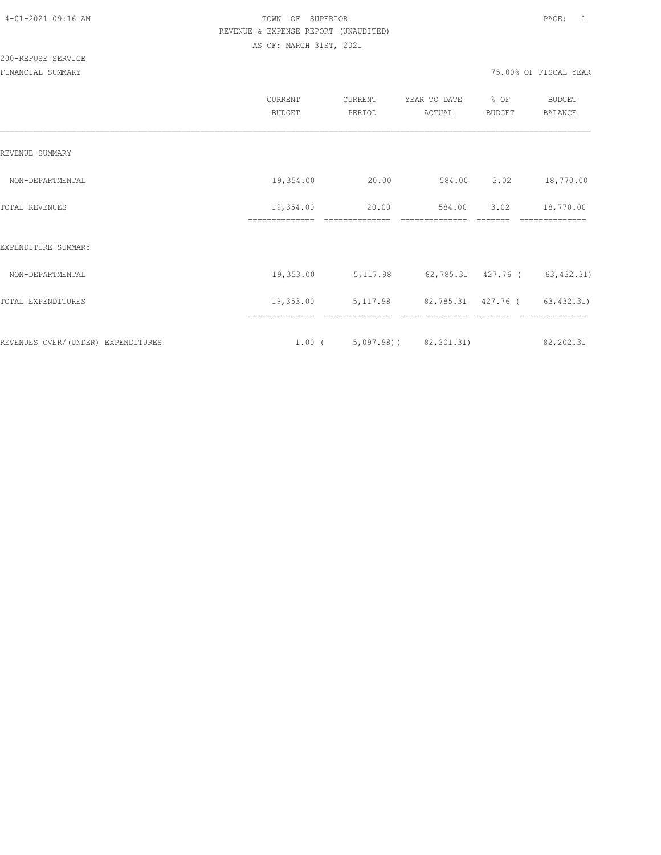200-REFUSE SERVICE

|                                    | CURRENT<br><b>BUDGET</b>    | CURRENT<br>PERIOD               | YEAR TO DATE<br>ACTUAL       | % OF<br><b>BUDGET</b> | <b>BUDGET</b><br><b>BALANCE</b> |
|------------------------------------|-----------------------------|---------------------------------|------------------------------|-----------------------|---------------------------------|
| REVENUE SUMMARY                    |                             |                                 |                              |                       |                                 |
| NON-DEPARTMENTAL                   | 19,354.00                   | 20.00                           | 584.00                       | 3.02                  | 18,770.00                       |
| TOTAL REVENUES                     | 19,354.00<br>============== | 20.00<br>--------------         | 584.00<br>--------------     | 3.02                  | 18,770.00                       |
| EXPENDITURE SUMMARY                |                             |                                 |                              |                       |                                 |
| NON-DEPARTMENTAL                   | 19,353.00                   | 5, 117.98                       | 82,785.31 427.76 (63,432.31) |                       |                                 |
| TOTAL EXPENDITURES                 | 19,353.00                   | 5, 117.98                       | 82,785.31 427.76 (63,432.31) |                       |                                 |
|                                    | ==============              | ==============                  | ==============               |                       | --------------                  |
| REVENUES OVER/(UNDER) EXPENDITURES |                             | $1.00$ ( 5,097.98) ( 82,201.31) |                              |                       | 82,202.31                       |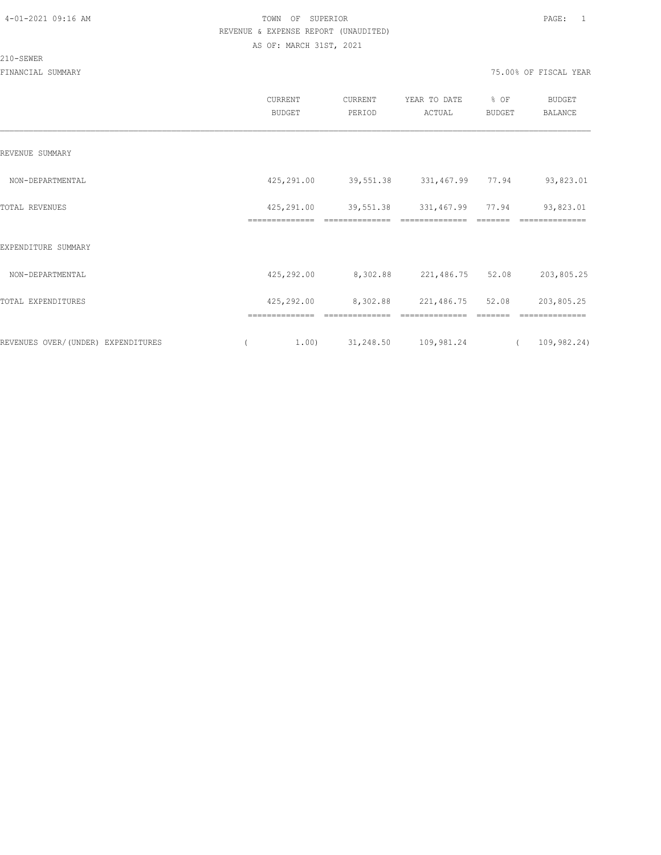210-SEWER

|                                    | CURRENT<br><b>BUDGET</b>     | CURRENT<br>PERIOD | YEAR TO DATE<br>ACTUAL | % OF<br>BUDGET | <b>BUDGET</b><br>BALANCE |
|------------------------------------|------------------------------|-------------------|------------------------|----------------|--------------------------|
| REVENUE SUMMARY                    |                              |                   |                        |                |                          |
| NON-DEPARTMENTAL                   | 425,291.00                   | 39,551.38         | 331,467.99             | 77.94          | 93,823.01                |
| TOTAL REVENUES                     | 425,291.00<br>============== | 39,551.38         | 331,467.99 77.94       |                | 93,823.01                |
| EXPENDITURE SUMMARY                |                              |                   |                        |                |                          |
| NON-DEPARTMENTAL                   | 425,292.00                   | 8,302.88          | 221,486.75             | 52.08          | 203,805.25               |
| TOTAL EXPENDITURES                 | 425,292.00                   | 8,302.88          | 221,486.75             | 52.08          | 203,805.25               |
| REVENUES OVER/(UNDER) EXPENDITURES | ==============<br>1,00)      | 31,248.50         | 109,981.24             |                | 109,982.24)              |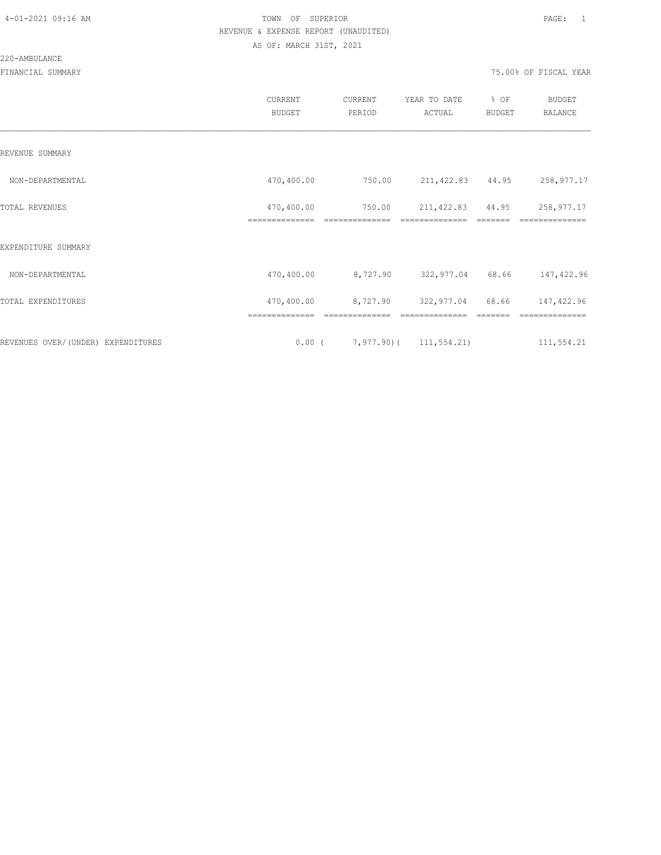#### 220-AMBULANCE

|                                     | CURRENT<br><b>BUDGET</b>     | CURRENT<br>PERIOD                                        | YEAR TO DATE<br>ACTUAL              | % OF<br><b>BUDGET</b> | <b>BUDGET</b><br>BALANCE     |
|-------------------------------------|------------------------------|----------------------------------------------------------|-------------------------------------|-----------------------|------------------------------|
| REVENUE SUMMARY                     |                              |                                                          |                                     |                       |                              |
| NON-DEPARTMENTAL                    | 470,400.00                   | 750.00                                                   | 211, 422.83 44.95                   |                       | 258,977.17                   |
| TOTAL REVENUES                      | 470,400.00<br>============== | 750.00<br>==============                                 | 211, 422.83 44.95<br>============== |                       | 258,977.17                   |
| EXPENDITURE SUMMARY                 |                              |                                                          |                                     |                       |                              |
| NON-DEPARTMENTAL                    | 470,400.00                   |                                                          | 8,727.90 322,977.04 68.66           |                       | 147,422.96                   |
| TOTAL EXPENDITURES                  | 470,400.00                   |                                                          | 8,727.90 322,977.04                 | 68.66                 | 147,422.96                   |
| REVENUES OVER/ (UNDER) EXPENDITURES | ==============               | --------------<br>$0.00$ ( $7,977.90$ ) ( $111,554.21$ ) | --------------                      |                       | ==============<br>111,554.21 |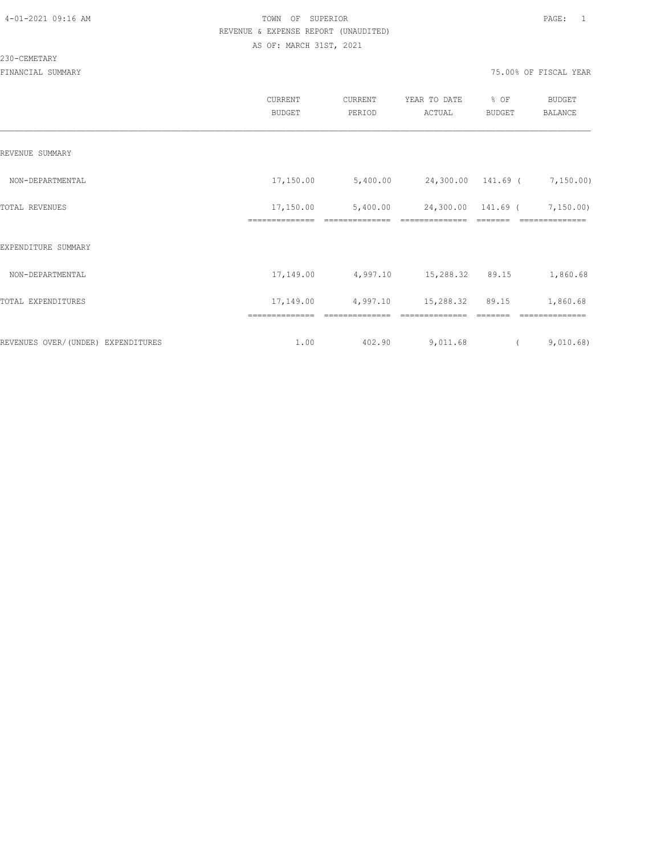230-CEMETARY

|                                    | CURRENT<br><b>BUDGET</b> | CURRENT<br>PERIOD          | YEAR TO DATE<br>ACTUAL               | % OF<br><b>BUDGET</b> | <b>BUDGET</b><br>BALANCE    |
|------------------------------------|--------------------------|----------------------------|--------------------------------------|-----------------------|-----------------------------|
| REVENUE SUMMARY                    |                          |                            |                                      |                       |                             |
| NON-DEPARTMENTAL                   | 17,150.00                | 5,400.00                   | 24,300.00 141.69 ( 7,150.00)         |                       |                             |
| TOTAL REVENUES                     | 17,150.00                | 5,400.00<br>-------------- | 24,300.00 141.69 (<br>============== |                       | 7, 150.00                   |
| EXPENDITURE SUMMARY                | ==============           |                            |                                      |                       | ==============              |
| NON-DEPARTMENTAL                   | 17,149.00                | 4,997.10 15,288.32 89.15   |                                      |                       | 1,860.68                    |
| TOTAL EXPENDITURES                 | 17,149.00                | 4,997.10                   | 15,288.32                            | 89.15                 | 1,860.68                    |
| REVENUES OVER/(UNDER) EXPENDITURES | ==============<br>1.00   | 402.90                     | 9,011.68                             |                       | --------------<br>9,010.68) |
|                                    |                          |                            |                                      |                       |                             |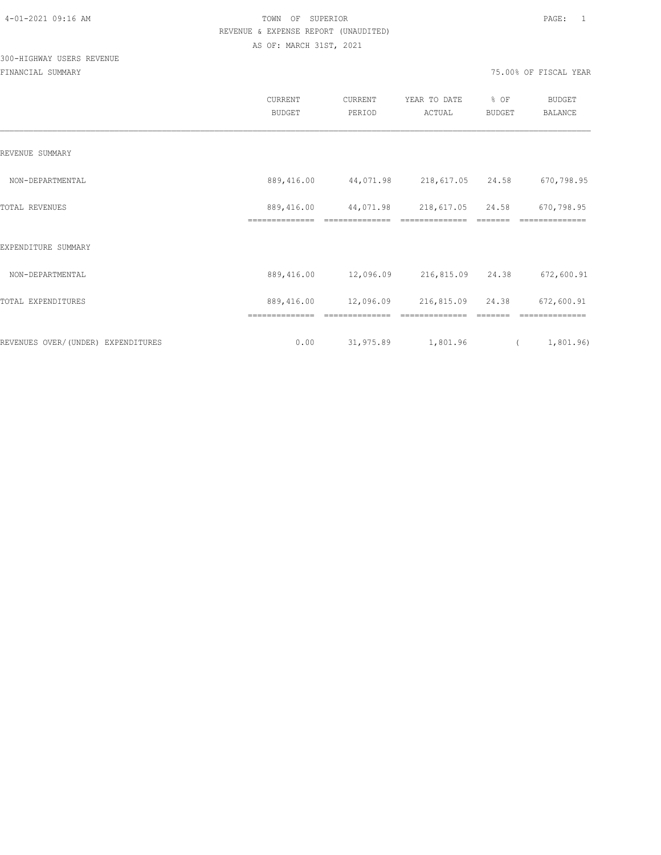## 300-HIGHWAY USERS REVENUE

| CURRENT<br><b>BUDGET</b> | CURRENT<br>PERIOD | YEAR TO DATE<br>ACTUAL                                | % OF<br><b>BUDGET</b>      | <b>BUDGET</b><br><b>BALANCE</b>                        |            |
|--------------------------|-------------------|-------------------------------------------------------|----------------------------|--------------------------------------------------------|------------|
|                          |                   |                                                       |                            |                                                        |            |
| 889,416.00               |                   |                                                       |                            | 670,798.95                                             |            |
| 889,416.00               |                   | 218,617.05                                            |                            | 670,798.95                                             |            |
|                          |                   |                                                       |                            |                                                        |            |
| 889,416.00               |                   |                                                       |                            | 672,600.91                                             |            |
| 889,416.00               | 12,096.09         | 216,815.09                                            |                            | 672,600.91                                             |            |
| 0.00                     | 31,975.89         |                                                       | $\sqrt{2}$                 | 1,801.96)                                              |            |
|                          | ==============    | 44,071.98<br>44,071.98<br>==============<br>12,096.09 | ==============<br>1,801.96 | 218,617.05 24.58<br>24.58<br>216,815.09 24.38<br>24.38 | ========== |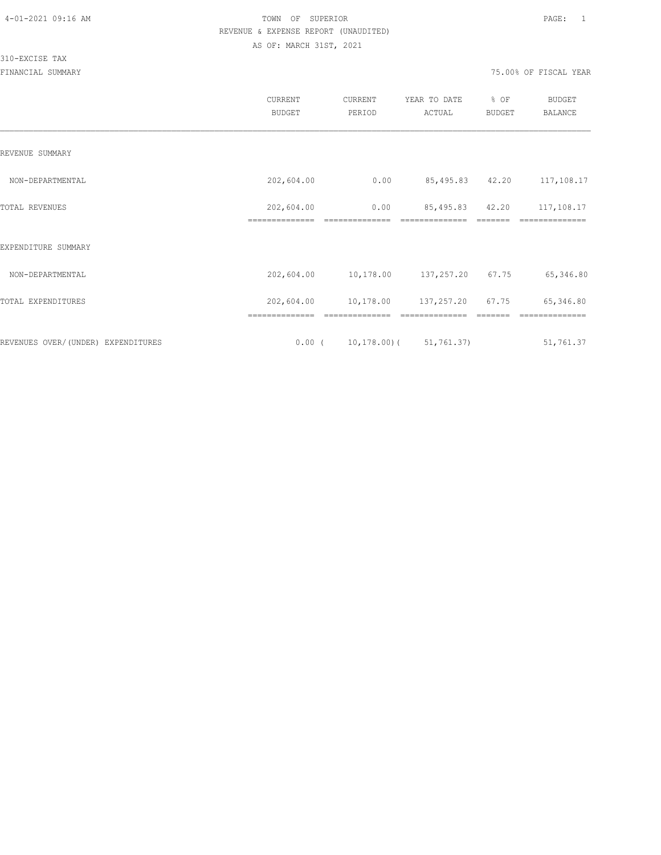310-EXCISE TAX

|                                    | <b>CURRENT</b><br><b>BUDGET</b> | CURRENT<br>PERIOD | YEAR TO DATE<br>ACTUAL          | % OF<br>BUDGET | BUDGET<br><b>BALANCE</b> |
|------------------------------------|---------------------------------|-------------------|---------------------------------|----------------|--------------------------|
| REVENUE SUMMARY                    |                                 |                   |                                 |                |                          |
| NON-DEPARTMENTAL                   | 202,604.00                      | 0.00              | 85,495.83 42.20                 |                | 117,108.17               |
| TOTAL REVENUES                     | 202,604.00                      | 0.00              | 85,495.83                       | 42.20          | 117,108.17               |
| EXPENDITURE SUMMARY                |                                 |                   |                                 |                |                          |
| NON-DEPARTMENTAL                   | 202,604.00                      | 10,178.00         | 137,257.20 67.75                |                | 65,346.80                |
| TOTAL EXPENDITURES                 | 202,604.00                      |                   | 10,178.00 137,257.20 67.75      |                | 65,346.80                |
|                                    | ==============                  | ==============    | ==============                  |                | ==============           |
| REVENUES OVER/(UNDER) EXPENDITURES | $0.00$ (                        |                   | $10, 178, 00$ ( $51, 761, 37$ ) |                | 51,761.37                |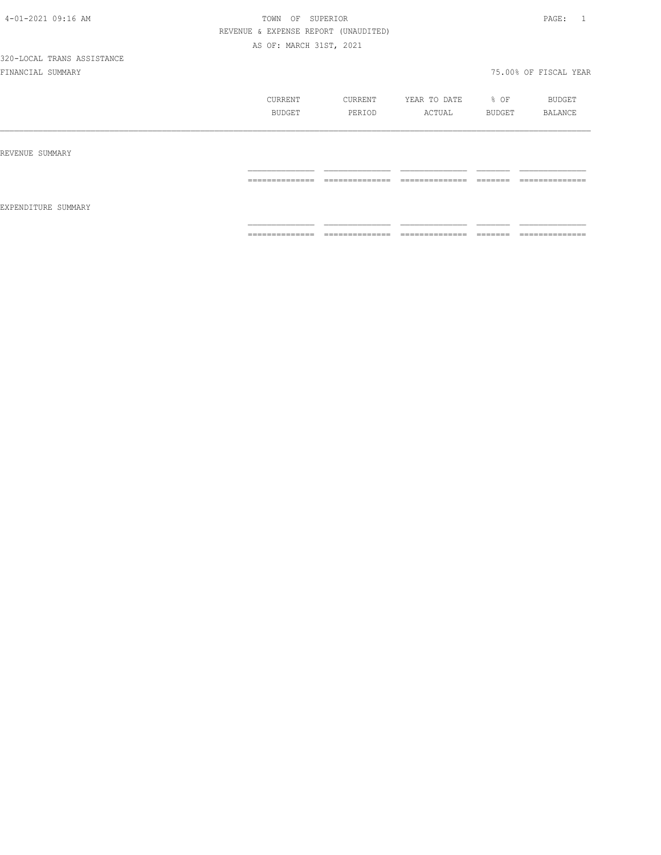|                     | CURRENT         | CURRENT        | YEAR TO DATE    | $8$ OF             | BUDGET          |
|---------------------|-----------------|----------------|-----------------|--------------------|-----------------|
|                     | BUDGET          | PERIOD         | ACTUAL          | BUDGET             | BALANCE         |
| REVENUE SUMMARY     |                 |                |                 |                    |                 |
| EXPENDITURE SUMMARY | --------------- | -------------- | --------------- | --------           | --------------- |
|                     | .               | -------------  | -------------   | _______            | ------------    |
|                     | ==============  | ============== | ==============  | _______<br>------- | --------------  |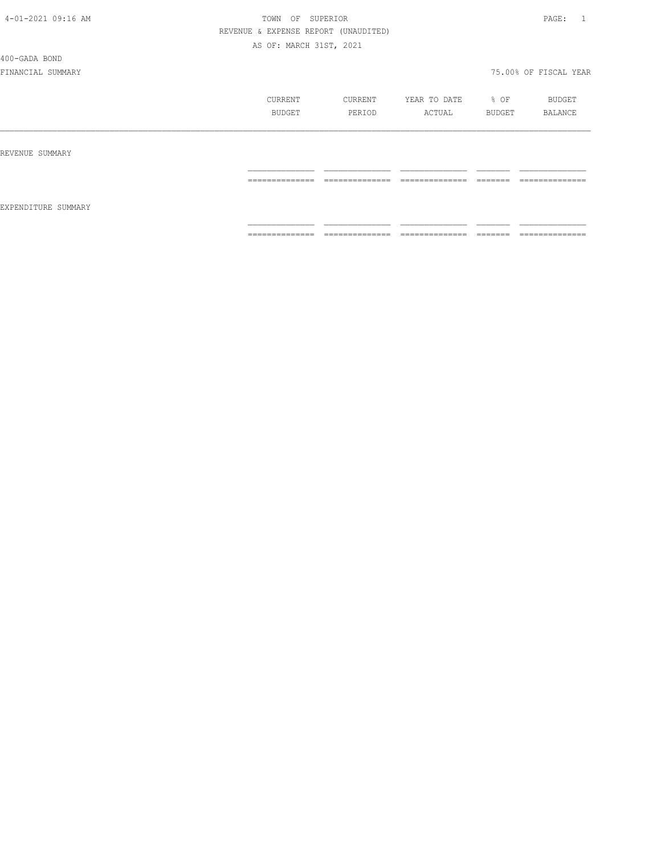400-GADA BOND

|                     | CURRENT<br>BUDGET | CURRENT<br>PERIOD               | YEAR TO DATE<br>ACTUAL            | % OF<br>BUDGET     | BUDGET<br>BALANCE              |
|---------------------|-------------------|---------------------------------|-----------------------------------|--------------------|--------------------------------|
| REVENUE SUMMARY     |                   |                                 |                                   |                    |                                |
| EXPENDITURE SUMMARY | ==============    | ______________<br>------------- | ______________<br>.               | --------<br>====== | ______________<br>------------ |
|                     | --------------    | ==============                  | ______________<br>_______________ | --------<br>====== | ==============                 |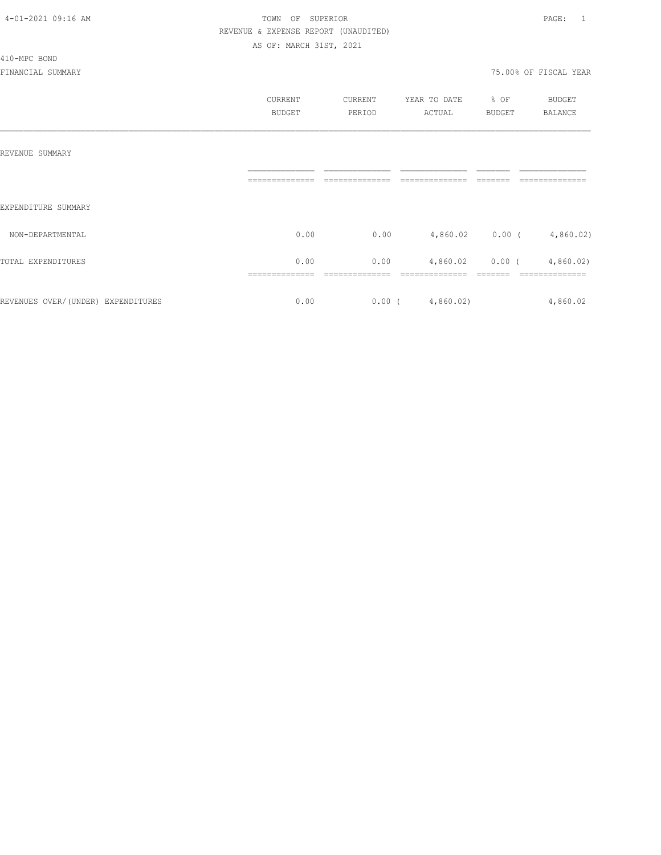### 410-MPC BOND

|                                    | <b>CURRENT</b><br><b>BUDGET</b> | CURRENT<br>PERIOD | YEAR TO DATE<br>ACTUAL | % OF<br><b>BUDGET</b> | <b>BUDGET</b><br>BALANCE |
|------------------------------------|---------------------------------|-------------------|------------------------|-----------------------|--------------------------|
| REVENUE SUMMARY                    |                                 |                   |                        |                       |                          |
| EXPENDITURE SUMMARY                |                                 |                   |                        |                       |                          |
| NON-DEPARTMENTAL                   | 0.00                            | 0.00              |                        | 4,860.02 0.00 (       | 4,860.02)                |
| TOTAL EXPENDITURES                 | 0.00                            | 0.00              | 4,860.02               | $0.00$ (              | 4,860.02                 |
| REVENUES OVER/(UNDER) EXPENDITURES | 0.00                            | $0.00$ (          | 4,860.02)              |                       | 4,860.02                 |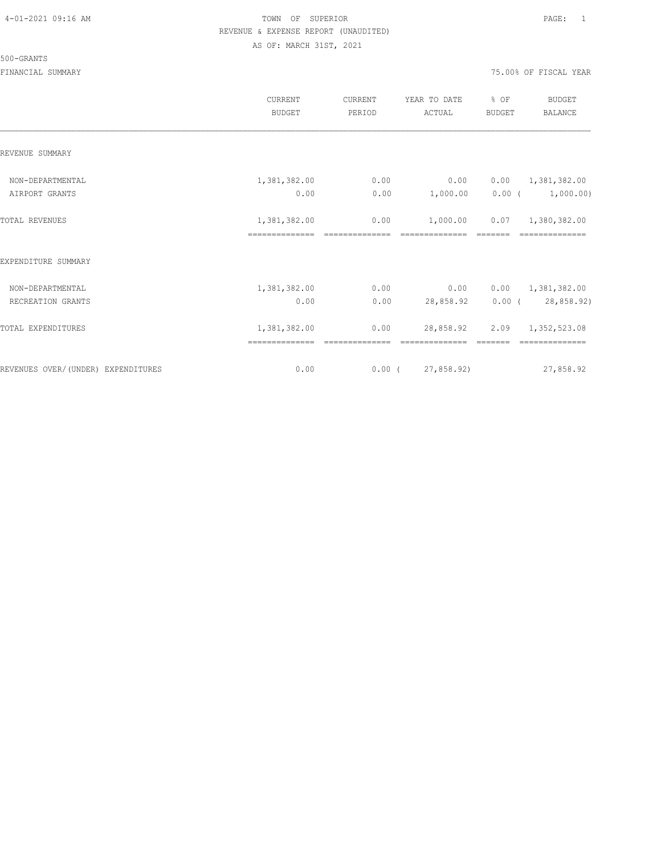#### 500-GRANTS

|                                    | CURRENT<br><b>BUDGET</b> | CURRENT<br>PERIOD | YEAR TO DATE<br>ACTUAL | % OF<br><b>BUDGET</b> | <b>BUDGET</b><br><b>BALANCE</b> |
|------------------------------------|--------------------------|-------------------|------------------------|-----------------------|---------------------------------|
| REVENUE SUMMARY                    |                          |                   |                        |                       |                                 |
| NON-DEPARTMENTAL                   | 1,381,382.00             | 0.00              | 0.00                   | 0.00                  | 1,381,382.00                    |
| AIRPORT GRANTS                     | 0.00                     | 0.00              | 1,000.00               | $0.00$ (              | 1,000.00)                       |
| <b>TOTAL REVENUES</b>              | 1,381,382.00             | 0.00              | 1,000.00               | 0.07                  | 1,380,382.00                    |
| EXPENDITURE SUMMARY                |                          |                   |                        |                       |                                 |
| NON-DEPARTMENTAL                   | 1,381,382.00             | 0.00              | 0.00                   | 0.00                  | 1,381,382.00                    |
| RECREATION GRANTS                  | 0.00                     | 0.00              | 28,858.92              |                       | $0.00$ ( 28,858.92)             |
| TOTAL EXPENDITURES                 | 1,381,382.00             | 0.00              | 28,858.92              | 2.09                  | 1,352,523.08                    |
| REVENUES OVER/(UNDER) EXPENDITURES | 0.00                     |                   | $0.00$ ( 27,858.92)    |                       | 27,858.92                       |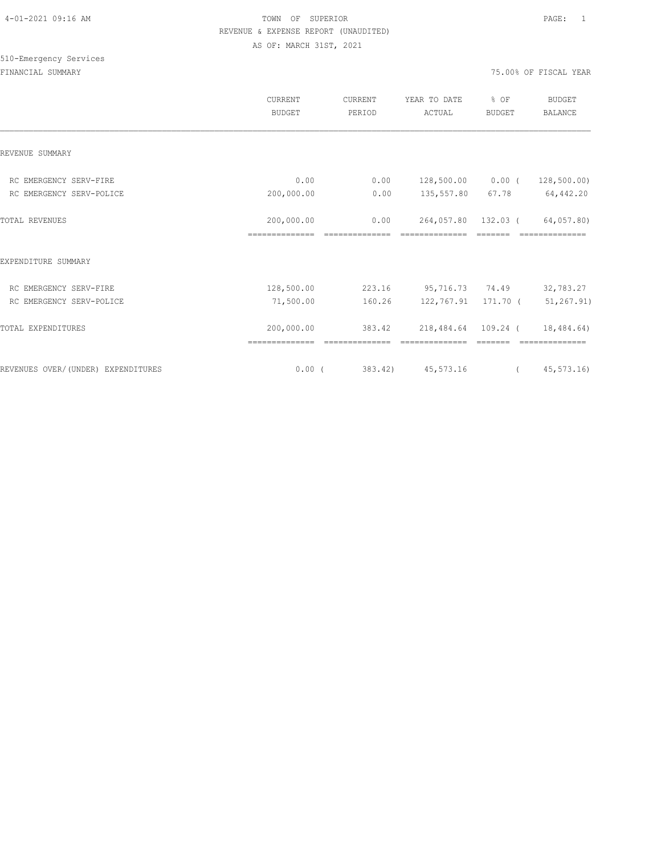## 510-Emergency Services

|                                    | CURRENT<br><b>BUDGET</b> | CURRENT<br>PERIOD | YEAR TO DATE<br>ACTUAL | % OF<br><b>BUDGET</b> | <b>BUDGET</b><br>BALANCE |
|------------------------------------|--------------------------|-------------------|------------------------|-----------------------|--------------------------|
| REVENUE SUMMARY                    |                          |                   |                        |                       |                          |
| RC EMERGENCY SERV-FIRE             | 0.00                     | 0.00              | 128,500.00 0.00 (      |                       | 128,500.00)              |
| RC EMERGENCY SERV-POLICE           | 200,000.00               | 0.00              | 135,557.80             | 67.78                 | 64,442.20                |
| TOTAL REVENUES                     | 200,000.00               | 0.00              |                        | 264,057.80 132.03 (   | 64,057.80)               |
|                                    | ==============           |                   | ==============         |                       |                          |
| EXPENDITURE SUMMARY                |                          |                   |                        |                       |                          |
| RC EMERGENCY SERV-FIRE             | 128,500.00               | 223.16            | 95,716.73 74.49        |                       | 32,783.27                |
| RC EMERGENCY SERV-POLICE           | 71,500.00                | 160.26            | 122,767.91 171.70 (    |                       | 51,267.91)               |
| TOTAL EXPENDITURES                 | 200,000.00               | 383.42            | 218,484.64 109.24 (    |                       | 18,484.64)               |
|                                    |                          |                   |                        |                       |                          |
| REVENUES OVER/(UNDER) EXPENDITURES | $0.00$ (                 |                   | 383.42) 45,573.16      | $\overline{a}$        | 45,573.16)               |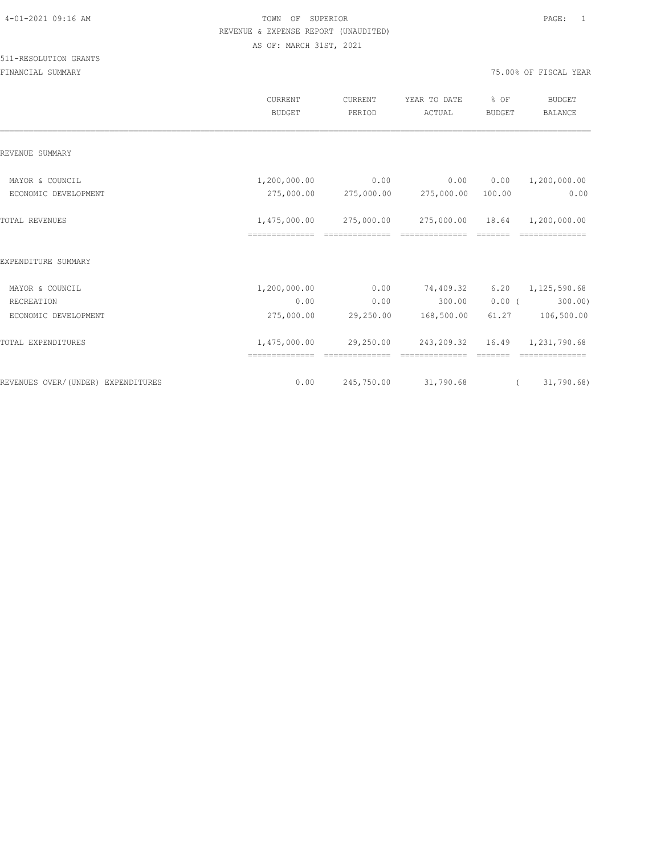|                                    | CURRENT<br><b>BUDGET</b> | CURRENT<br>PERIOD | YEAR TO DATE<br>ACTUAL                   | % OF<br><b>BUDGET</b> | <b>BUDGET</b><br><b>BALANCE</b> |
|------------------------------------|--------------------------|-------------------|------------------------------------------|-----------------------|---------------------------------|
| REVENUE SUMMARY                    |                          |                   |                                          |                       |                                 |
| MAYOR & COUNCIL                    | 1,200,000.00             | 0.00              | 0.00                                     | 0.00                  | 1,200,000.00                    |
| ECONOMIC DEVELOPMENT               |                          |                   | 275,000.00 275,000.00 275,000.00 100.00  |                       | 0.00                            |
| <b>TOTAL REVENUES</b>              |                          |                   | 1,475,000.00 275,000.00 275,000.00 18.64 |                       | 1,200,000.00                    |
| EXPENDITURE SUMMARY                |                          |                   |                                          |                       |                                 |
| MAYOR & COUNCIL                    | 1,200,000.00             | 0.00              | 74,409.32                                | 6.20                  | 1,125,590.68                    |
| RECREATION                         | 0.00                     | 0.00              | 300.00                                   | $0.00$ (              | 300.00                          |
| ECONOMIC DEVELOPMENT               | 275,000.00               |                   | 29,250.00 168,500.00                     | 61.27                 | 106,500.00                      |
| <b>TOTAL EXPENDITURES</b>          | 1,475,000.00             |                   | 29,250.00 243,209.32 16.49 1,231,790.68  |                       |                                 |
| REVENUES OVER/(UNDER) EXPENDITURES | 0.00                     | 245,750.00        | 31,790.68                                | $\sqrt{2}$            | 31,790.68                       |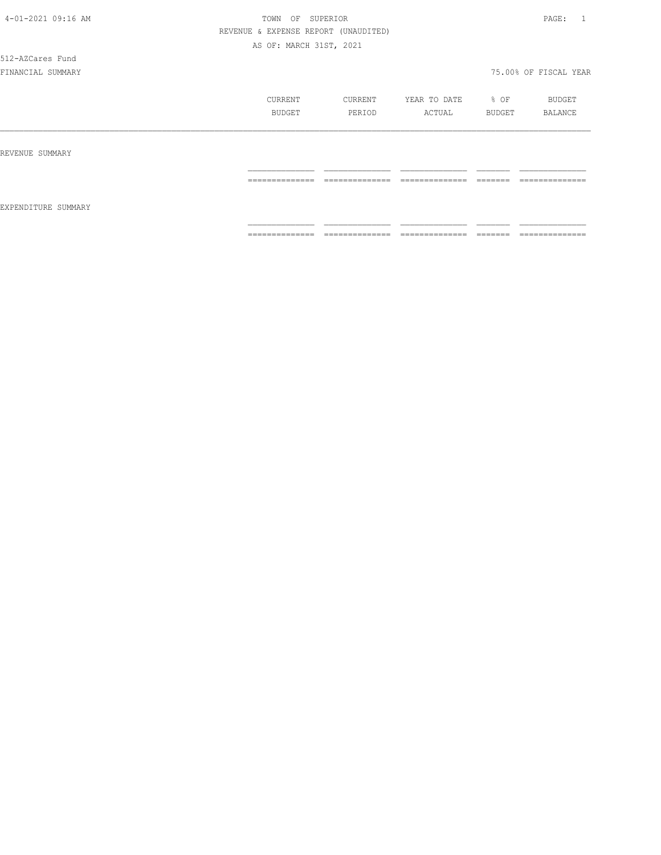512-AZCares Fund

|                     | CURRENT        | CURRENT        | YEAR TO DATE   | % OF                | BUDGET         |
|---------------------|----------------|----------------|----------------|---------------------|----------------|
|                     | <b>BUDGET</b>  | PERIOD         | ACTUAL         | BUDGET              | <b>BALANCE</b> |
| REVENUE SUMMARY     |                |                |                |                     |                |
| EXPENDITURE SUMMARY | ______________ | ______________ | ______________ | --------            | ______________ |
|                     | .              | .              | .              | ------              | .              |
|                     | ============== | ============== | ============== | --------<br>------- | ============== |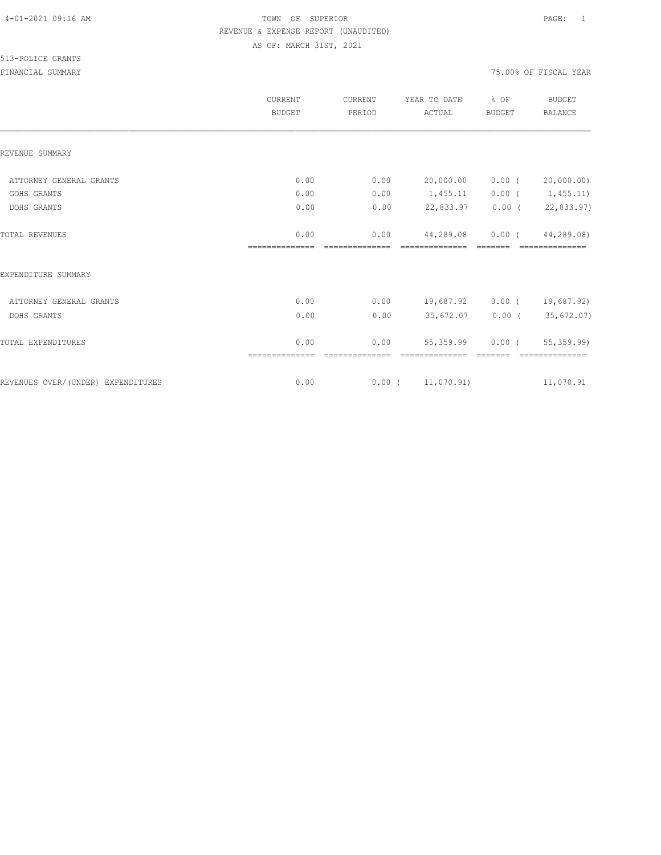513-POLICE GRANTS

|                                    | CURRENT<br><b>BUDGET</b> | CURRENT<br>PERIOD      | YEAR TO DATE<br>ACTUAL | % OF<br><b>BUDGET</b> | <b>BUDGET</b><br><b>BALANCE</b> |
|------------------------------------|--------------------------|------------------------|------------------------|-----------------------|---------------------------------|
| REVENUE SUMMARY                    |                          |                        |                        |                       |                                 |
| ATTORNEY GENERAL GRANTS            | 0.00                     | 0.00                   | 20,000.00              | $0.00$ (              | 20,000.00)                      |
| GOHS GRANTS                        | 0.00                     | 0.00                   | 1,455.11               |                       | $0.00$ ( $1,455.11$ )           |
| DOHS GRANTS                        | 0.00                     | 0.00                   | 22,833.97              |                       | $0.00$ ( 22,833.97)             |
| TOTAL REVENUES                     | 0.00                     | 0.00                   | 44,289.08              | $0.00$ (              | 44,289.08)                      |
| EXPENDITURE SUMMARY                |                          |                        |                        |                       |                                 |
| ATTORNEY GENERAL GRANTS            | 0.00                     | 0.00                   | 19,687.92              | $0.00$ (              | 19,687.92)                      |
| DOHS GRANTS                        | 0.00                     | 0.00                   | 35,672.07              |                       | $0.00$ ( 35,672.07)             |
| TOTAL EXPENDITURES                 | 0.00                     | 0.00<br>============== | 55,359.99              | $0.00$ (              | 55,359.99)<br>==============    |
| REVENUES OVER/(UNDER) EXPENDITURES | 0.00                     |                        | $0.00$ ( $11,070.91$ ) |                       | 11,070.91                       |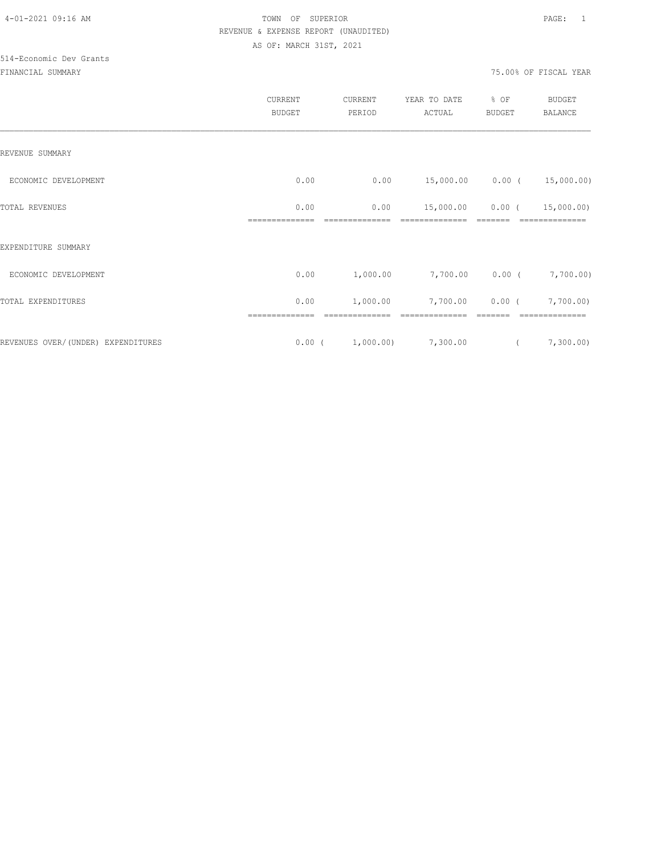# 514-Economic Dev Grants

|                                    | CURRENT<br><b>BUDGET</b> | CURRENT<br>PERIOD | YEAR TO DATE<br>ACTUAL | % OF<br>BUDGET | <b>BUDGET</b><br><b>BALANCE</b> |
|------------------------------------|--------------------------|-------------------|------------------------|----------------|---------------------------------|
| REVENUE SUMMARY                    |                          |                   |                        |                |                                 |
| ECONOMIC DEVELOPMENT               | 0.00                     | 0.00              | 15,000.00              | $0.00$ (       | 15,000.00)                      |
| TOTAL REVENUES                     | 0.00                     | 0.00              | 15,000.00              | $0.00$ (       | 15,000.00)                      |
| EXPENDITURE SUMMARY                |                          |                   |                        |                |                                 |
| ECONOMIC DEVELOPMENT               | 0.00                     | 1,000.00          | 7,700.00               |                | $0.00$ ( $7,700.00$ )           |
| TOTAL EXPENDITURES                 | 0.00                     | 1,000.00          | 7,700.00               | $0.00$ (       | 7,700.00)                       |
|                                    |                          |                   | --------------         |                |                                 |
| REVENUES OVER/(UNDER) EXPENDITURES | $0.00$ (                 | 1,000.00)         | 7,300.00               | $\left($       | 7,300.00)                       |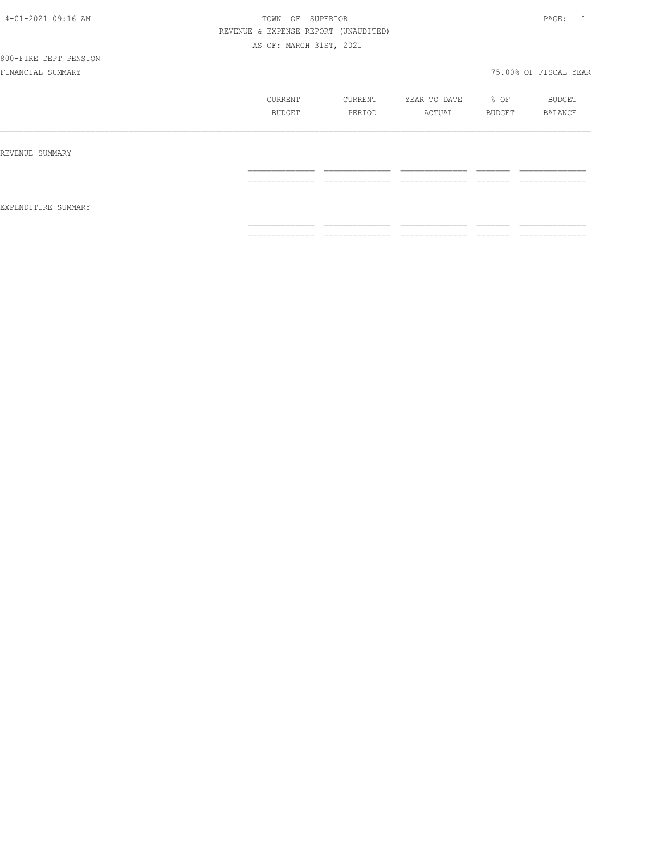## 800-FIRE DEPT PENSION

|                     | CURRENT<br><b>BUDGET</b>         | CURRENT<br>PERIOD | YEAR TO DATE<br>ACTUAL              | % OF<br>BUDGET     | BUDGET<br><b>BALANCE</b>          |
|---------------------|----------------------------------|-------------------|-------------------------------------|--------------------|-----------------------------------|
| REVENUE SUMMARY     |                                  |                   |                                     |                    |                                   |
|                     | ==============                   | ==============    | --------------<br>.                 |                    | --------------<br>.               |
| EXPENDITURE SUMMARY |                                  |                   |                                     |                    |                                   |
|                     | --------------<br>-------------- | ==============    | ---------------<br>---------------- | -------<br>------- | --------------<br>_______________ |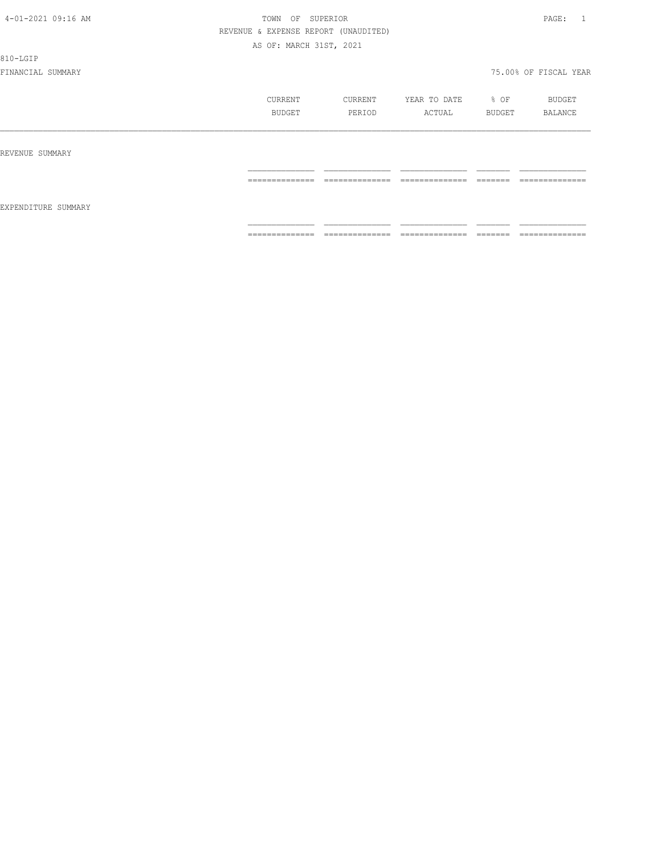810-LGIP

|                     | CURRENT<br>BUDGET | CURRENT<br>PERIOD | YEAR TO DATE<br>ACTUAL             | % OF<br>BUDGET     | BUDGET<br>BALANCE |
|---------------------|-------------------|-------------------|------------------------------------|--------------------|-------------------|
| REVENUE SUMMARY     |                   |                   |                                    |                    |                   |
| EXPENDITURE SUMMARY | ==============    | ==============    | ---------------<br>_______________ | -------<br>------- | --------------    |
|                     | ==============    | ==============    | ---------------<br>_______________ | -------<br>------- | ==============    |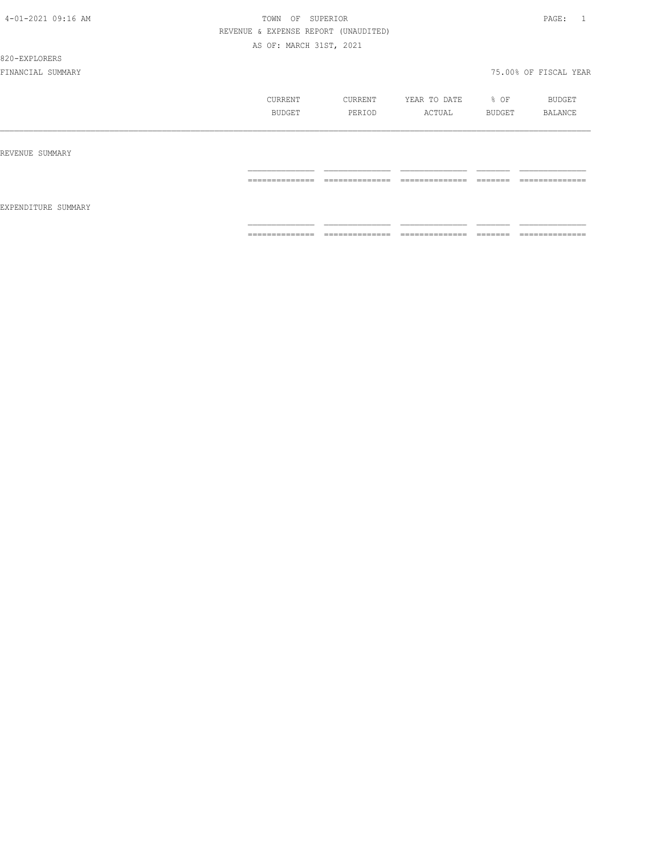#### 820-EXPLORERS

|                     | CURRENT          | CURRENT         | YEAR TO DATE    | % OF    | BUDGET         |
|---------------------|------------------|-----------------|-----------------|---------|----------------|
|                     | BUDGET           | PERIOD          | ACTUAL          | BUDGET  | BALANCE        |
| REVENUE SUMMARY     |                  |                 |                 |         |                |
|                     | ==============   | ==============  | ==============  | ======= | ============== |
| EXPENDITURE SUMMARY | --------------   | ______________  | ______________  | ------- | -------------- |
|                     | ---------------- | --------------- | --------------- | ======  | .              |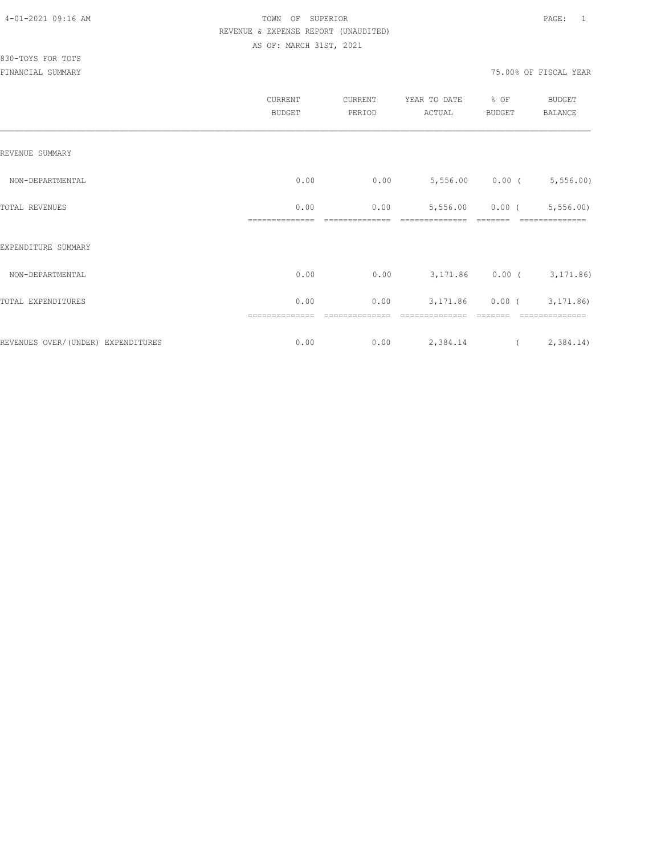|                                     | CURRENT<br><b>BUDGET</b> | CURRENT<br>PERIOD | YEAR TO DATE<br>ACTUAL | % OF<br><b>BUDGET</b> | <b>BUDGET</b><br>BALANCE    |
|-------------------------------------|--------------------------|-------------------|------------------------|-----------------------|-----------------------------|
| REVENUE SUMMARY                     |                          |                   |                        |                       |                             |
| NON-DEPARTMENTAL                    | 0.00                     | 0.00              |                        |                       | $5,556.00$ 0.00 ( 5,556.00) |
| TOTAL REVENUES                      | 0.00                     | 0.00              | 5,556.00               | $0.00$ (              | 5, 556.00                   |
| EXPENDITURE SUMMARY                 |                          |                   |                        |                       |                             |
| NON-DEPARTMENTAL                    | 0.00                     | 0.00              |                        |                       | 3,171.86 0.00 (3,171.86)    |
| TOTAL EXPENDITURES                  | 0.00                     | 0.00              | 3,171.86               |                       | $0.00$ ( $3,171.86$ )       |
| REVENUES OVER/ (UNDER) EXPENDITURES | ==============<br>0.00   | 0.00              | 2,384.14               | $\sqrt{2}$            | 2,384.14)                   |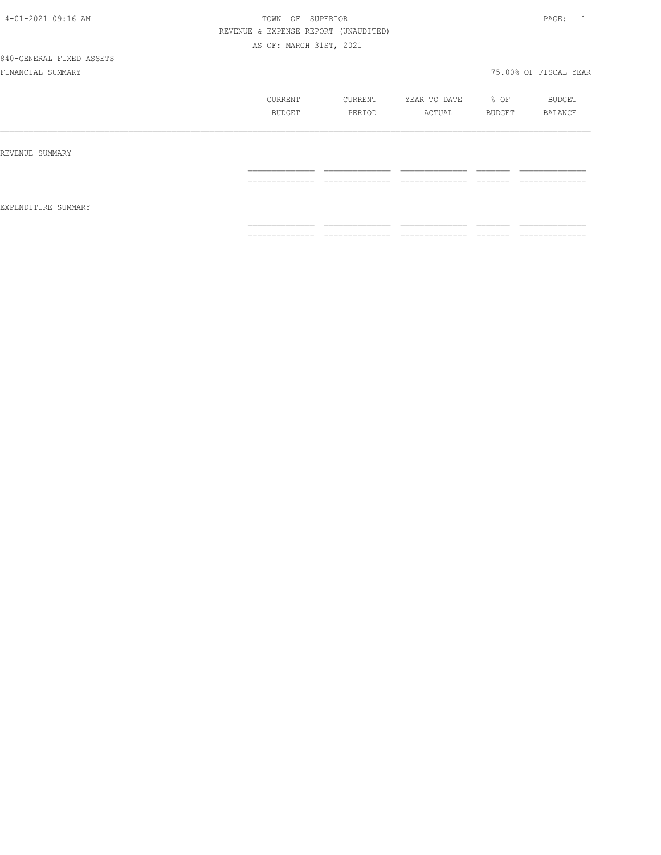840-GENERAL FIXED ASSETS

|                     | CURRENT<br>BUDGET | CURRENT<br>PERIOD | YEAR TO DATE<br>ACTUAL | % OF<br>BUDGET | BUDGET<br>BALANCE |
|---------------------|-------------------|-------------------|------------------------|----------------|-------------------|
| REVENUE SUMMARY     |                   |                   |                        |                |                   |
| EXPENDITURE SUMMARY | --------------    | --------------    | ---------------        | -------        | --------------    |
|                     | .                 | .                 | .                      | ________       | .                 |
|                     | --------------    | --------------    | ---------------        | --------       | --------------    |
|                     | .                 | .                 | _______________        | ________       | _______________   |